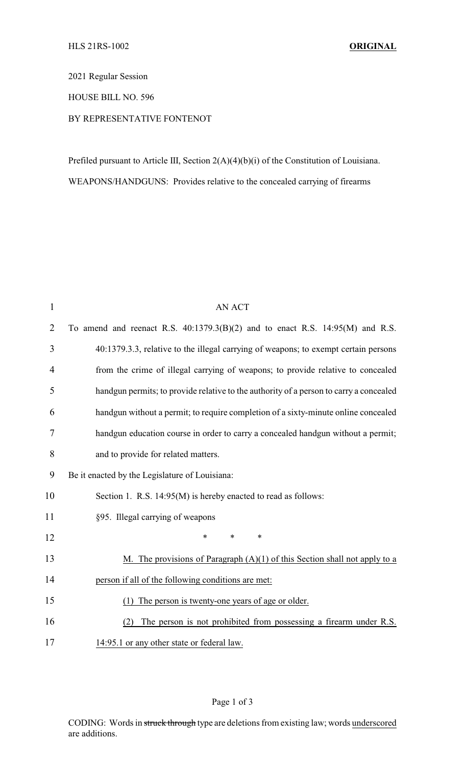2021 Regular Session

HOUSE BILL NO. 596

## BY REPRESENTATIVE FONTENOT

Prefiled pursuant to Article III, Section 2(A)(4)(b)(i) of the Constitution of Louisiana. WEAPONS/HANDGUNS: Provides relative to the concealed carrying of firearms

| $\mathbf{1}$   | <b>AN ACT</b>                                                                          |  |
|----------------|----------------------------------------------------------------------------------------|--|
| $\overline{2}$ | To amend and reenact R.S. $40:1379.3(B)(2)$ and to enact R.S. $14:95(M)$ and R.S.      |  |
| 3              | 40:1379.3.3, relative to the illegal carrying of weapons; to exempt certain persons    |  |
| 4              | from the crime of illegal carrying of weapons; to provide relative to concealed        |  |
| 5              | handgun permits; to provide relative to the authority of a person to carry a concealed |  |
| 6              | handgun without a permit; to require completion of a sixty-minute online concealed     |  |
| 7              | handgun education course in order to carry a concealed handgun without a permit;       |  |
| 8              | and to provide for related matters.                                                    |  |
| 9              | Be it enacted by the Legislature of Louisiana:                                         |  |
| 10             | Section 1. R.S. 14:95(M) is hereby enacted to read as follows:                         |  |
| 11             | §95. Illegal carrying of weapons                                                       |  |
| 12             | $\ast$<br>*<br>*                                                                       |  |
| 13             | M. The provisions of Paragraph $(A)(1)$ of this Section shall not apply to a           |  |
| 14             | person if all of the following conditions are met:                                     |  |
| 15             | The person is twenty-one years of age or older.<br>(1)                                 |  |
| 16             | The person is not prohibited from possessing a firearm under R.S.<br>(2)               |  |
| 17             | 14:95.1 or any other state or federal law.                                             |  |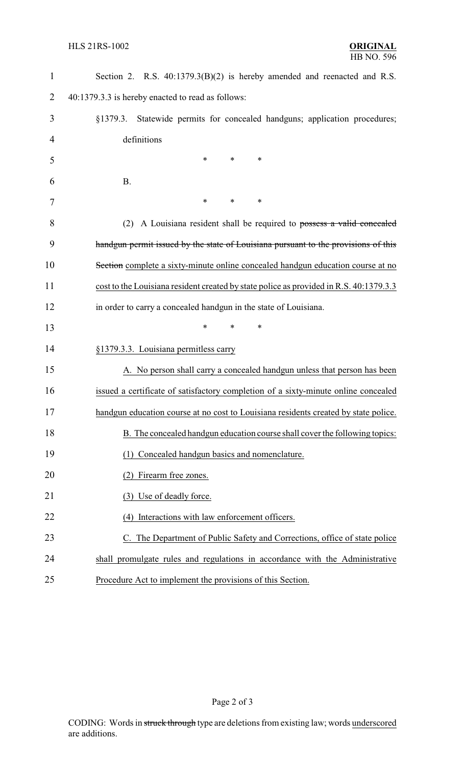| $\mathbf{1}$   | Section 2. R.S. 40:1379.3(B)(2) is hereby amended and reenacted and R.S.               |
|----------------|----------------------------------------------------------------------------------------|
| 2              | 40:1379.3.3 is hereby enacted to read as follows:                                      |
| 3              | Statewide permits for concealed handguns; application procedures;<br>§1379.3.          |
| $\overline{4}$ | definitions                                                                            |
| 5              | *<br>$\ast$<br>*                                                                       |
| 6              | <b>B.</b>                                                                              |
| 7              | $\ast$<br>∗<br>*                                                                       |
| 8              | A Louisiana resident shall be required to possess a valid concealed<br>(2)             |
| 9              | handgun permit issued by the state of Louisiana pursuant to the provisions of this     |
| 10             | Section complete a sixty-minute online concealed handgun education course at no        |
| 11             | cost to the Louisiana resident created by state police as provided in R.S. 40:1379.3.3 |
| 12             | in order to carry a concealed handgun in the state of Louisiana.                       |
| 13             | *<br>$\ast$<br>*                                                                       |
| 14             | §1379.3.3. Louisiana permitless carry                                                  |
| 15             | A. No person shall carry a concealed handgun unless that person has been               |
| 16             | issued a certificate of satisfactory completion of a sixty-minute online concealed     |
| 17             | handgun education course at no cost to Louisiana residents created by state police.    |
| 18             | B. The concealed handgun education course shall cover the following topics:            |
| 19             | (1) Concealed handgun basics and nomenclature.                                         |
| 20             | Firearm free zones.                                                                    |
| 21             | (3) Use of deadly force.                                                               |
| 22             | (4) Interactions with law enforcement officers.                                        |
| 23             | C. The Department of Public Safety and Corrections, office of state police             |
| 24             | shall promulgate rules and regulations in accordance with the Administrative           |
| 25             | Procedure Act to implement the provisions of this Section.                             |